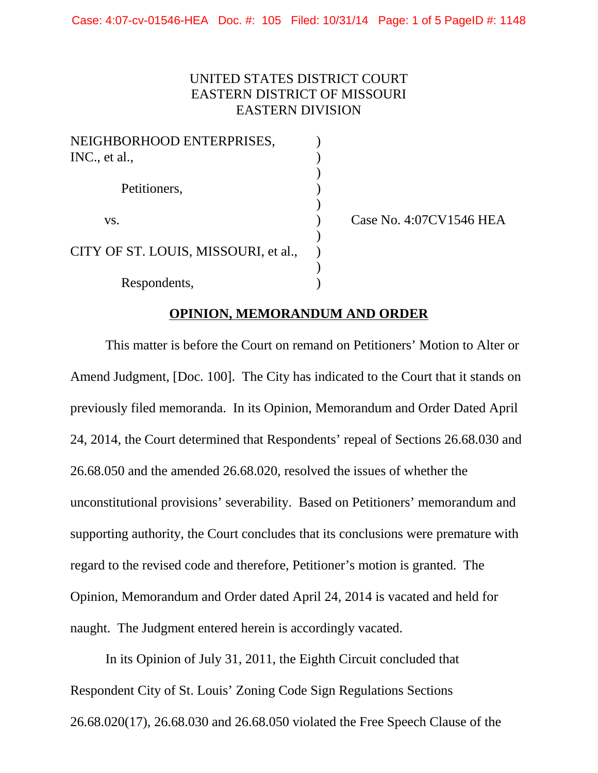## UNITED STATES DISTRICT COURT EASTERN DISTRICT OF MISSOURI EASTERN DIVISION

| NEIGHBORHOOD ENTERPRISES,            |  |
|--------------------------------------|--|
| INC., et al.,                        |  |
|                                      |  |
| Petitioners,                         |  |
|                                      |  |
| VS.                                  |  |
| CITY OF ST. LOUIS, MISSOURI, et al., |  |
|                                      |  |
|                                      |  |
| Respondents,                         |  |

Case No. 4:07CV1546 HEA

## **OPINION, MEMORANDUM AND ORDER**

This matter is before the Court on remand on Petitioners' Motion to Alter or Amend Judgment, [Doc. 100]. The City has indicated to the Court that it stands on previously filed memoranda. In its Opinion, Memorandum and Order Dated April 24, 2014, the Court determined that Respondents' repeal of Sections 26.68.030 and 26.68.050 and the amended 26.68.020, resolved the issues of whether the unconstitutional provisions' severability. Based on Petitioners' memorandum and supporting authority, the Court concludes that its conclusions were premature with regard to the revised code and therefore, Petitioner's motion is granted. The Opinion, Memorandum and Order dated April 24, 2014 is vacated and held for naught. The Judgment entered herein is accordingly vacated.

In its Opinion of July 31, 2011, the Eighth Circuit concluded that Respondent City of St. Louis' Zoning Code Sign Regulations Sections 26.68.020(17), 26.68.030 and 26.68.050 violated the Free Speech Clause of the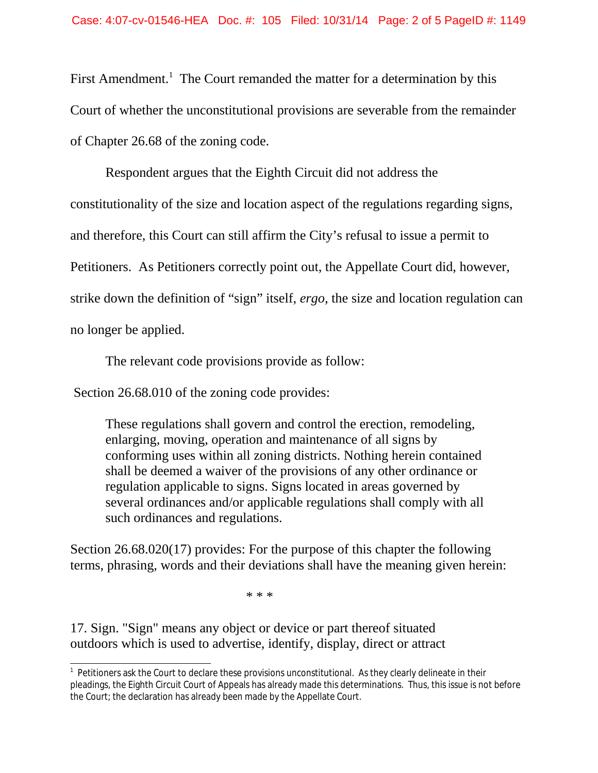First Amendment.<sup>1</sup> The Court remanded the matter for a determination by this Court of whether the unconstitutional provisions are severable from the remainder of Chapter 26.68 of the zoning code.

Respondent argues that the Eighth Circuit did not address the constitutionality of the size and location aspect of the regulations regarding signs, and therefore, this Court can still affirm the City's refusal to issue a permit to Petitioners. As Petitioners correctly point out, the Appellate Court did, however, strike down the definition of "sign" itself, *ergo*, the size and location regulation can no longer be applied.

The relevant code provisions provide as follow:

Section 26.68.010 of the zoning code provides:

These regulations shall govern and control the erection, remodeling, enlarging, moving, operation and maintenance of all signs by conforming uses within all zoning districts. Nothing herein contained shall be deemed a waiver of the provisions of any other ordinance or regulation applicable to signs. Signs located in areas governed by several ordinances and/or applicable regulations shall comply with all such ordinances and regulations.

Section 26.68.020(17) provides: For the purpose of this chapter the following terms, phrasing, words and their deviations shall have the meaning given herein:

\* \* \*

17. Sign. "Sign" means any object or device or part thereof situated outdoors which is used to advertise, identify, display, direct or attract

<sup>&</sup>lt;sup>1</sup> Petitioners ask the Court to declare these provisions unconstitutional. As they clearly delineate in their pleadings, the Eighth Circuit Court of Appeals has already made this determinations. Thus, this issue is not before the Court; the declaration has already been made by the Appellate Court.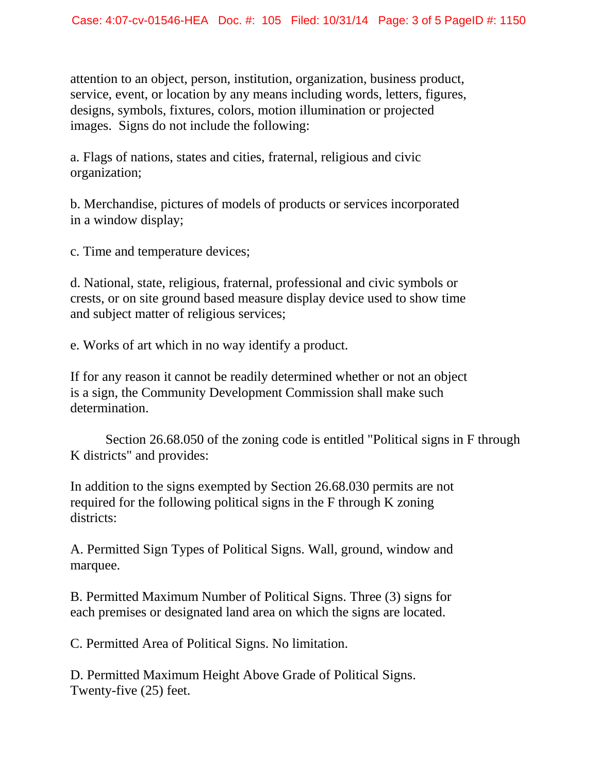attention to an object, person, institution, organization, business product, service, event, or location by any means including words, letters, figures, designs, symbols, fixtures, colors, motion illumination or projected images. Signs do not include the following:

a. Flags of nations, states and cities, fraternal, religious and civic organization;

b. Merchandise, pictures of models of products or services incorporated in a window display;

c. Time and temperature devices;

d. National, state, religious, fraternal, professional and civic symbols or crests, or on site ground based measure display device used to show time and subject matter of religious services;

e. Works of art which in no way identify a product.

If for any reason it cannot be readily determined whether or not an object is a sign, the Community Development Commission shall make such determination.

Section 26.68.050 of the zoning code is entitled "Political signs in F through K districts" and provides:

In addition to the signs exempted by Section 26.68.030 permits are not required for the following political signs in the F through K zoning districts:

A. Permitted Sign Types of Political Signs. Wall, ground, window and marquee.

B. Permitted Maximum Number of Political Signs. Three (3) signs for each premises or designated land area on which the signs are located.

C. Permitted Area of Political Signs. No limitation.

D. Permitted Maximum Height Above Grade of Political Signs. Twenty-five (25) feet.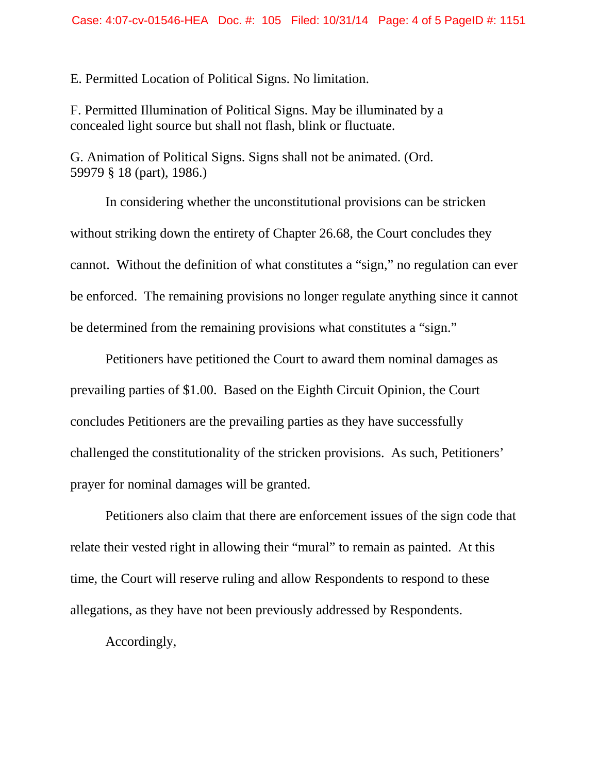E. Permitted Location of Political Signs. No limitation.

F. Permitted Illumination of Political Signs. May be illuminated by a concealed light source but shall not flash, blink or fluctuate.

G. Animation of Political Signs. Signs shall not be animated. (Ord. 59979 § 18 (part), 1986.)

In considering whether the unconstitutional provisions can be stricken without striking down the entirety of Chapter 26.68, the Court concludes they cannot. Without the definition of what constitutes a "sign," no regulation can ever be enforced. The remaining provisions no longer regulate anything since it cannot be determined from the remaining provisions what constitutes a "sign."

Petitioners have petitioned the Court to award them nominal damages as prevailing parties of \$1.00. Based on the Eighth Circuit Opinion, the Court concludes Petitioners are the prevailing parties as they have successfully challenged the constitutionality of the stricken provisions. As such, Petitioners' prayer for nominal damages will be granted.

Petitioners also claim that there are enforcement issues of the sign code that relate their vested right in allowing their "mural" to remain as painted. At this time, the Court will reserve ruling and allow Respondents to respond to these allegations, as they have not been previously addressed by Respondents.

Accordingly,